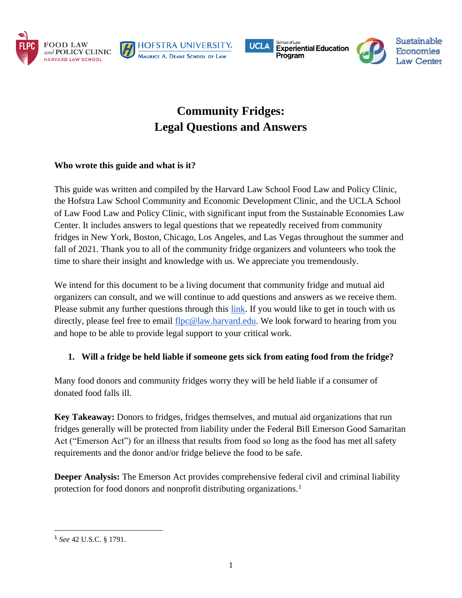









# **Community Fridges: Legal Questions and Answers**

### **Who wrote this guide and what is it?**

This guide was written and compiled by the Harvard Law School Food Law and Policy Clinic, the Hofstra Law School Community and Economic Development Clinic, and the UCLA School of Law Food Law and Policy Clinic, with significant input from the Sustainable Economies Law Center. It includes answers to legal questions that we repeatedly received from community fridges in New York, Boston, Chicago, Los Angeles, and Las Vegas throughout the summer and fall of 2021. Thank you to all of the community fridge organizers and volunteers who took the time to share their insight and knowledge with us. We appreciate you tremendously.

We intend for this document to be a living document that community fridge and mutual aid organizers can consult, and we will continue to add questions and answers as we receive them. Please submit any further questions through this [link.](https://docs.google.com/forms/d/10CRHQVMQoSoJz6jVGmd-sVQRbwztyi1Mk6pwyxzSTsY/edit#responses) If you would like to get in touch with us directly, please feel free to email [flpc@law.harvard.edu.](mailto:flpc@law.harvard.edu) We look forward to hearing from you and hope to be able to provide legal support to your critical work.

## **1. Will a fridge be held liable if someone gets sick from eating food from the fridge?**

Many food donors and community fridges worry they will be held liable if a consumer of donated food falls ill.

**Key Takeaway:** Donors to fridges, fridges themselves, and mutual aid organizations that run fridges generally will be protected from liability under the Federal Bill Emerson Good Samaritan Act ("Emerson Act") for an illness that results from food so long as the food has met all safety requirements and the donor and/or fridge believe the food to be safe.

**Deeper Analysis:** The Emerson Act provides comprehensive federal civil and criminal liability protection for food donors and nonprofit distributing organizations.<sup>1</sup>

<sup>1</sup> *See* 42 U.S.C. § 1791.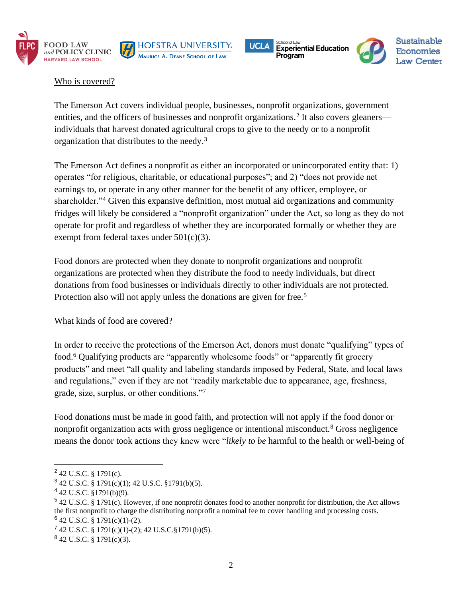









#### Who is covered?

The Emerson Act covers individual people, businesses, nonprofit organizations, government entities, and the officers of businesses and nonprofit organizations.<sup>2</sup> It also covers gleaners individuals that harvest donated agricultural crops to give to the needy or to a nonprofit organization that distributes to the needy.<sup>3</sup>

The Emerson Act defines a nonprofit as either an incorporated or unincorporated entity that: 1) operates "for religious, charitable, or educational purposes"; and 2) "does not provide net earnings to, or operate in any other manner for the benefit of any officer, employee, or shareholder."<sup>4</sup> Given this expansive definition, most mutual aid organizations and community fridges will likely be considered a "nonprofit organization" under the Act, so long as they do not operate for profit and regardless of whether they are incorporated formally or whether they are exempt from federal taxes under 501(c)(3).

Food donors are protected when they donate to nonprofit organizations and nonprofit organizations are protected when they distribute the food to needy individuals, but direct donations from food businesses or individuals directly to other individuals are not protected. Protection also will not apply unless the donations are given for free.<sup>5</sup>

#### What kinds of food are covered?

In order to receive the protections of the Emerson Act, donors must donate "qualifying" types of food.<sup>6</sup> Qualifying products are "apparently wholesome foods" or "apparently fit grocery products" and meet "all quality and labeling standards imposed by Federal, State, and local laws and regulations," even if they are not "readily marketable due to appearance, age, freshness, grade, size, surplus, or other conditions."<sup>7</sup>

Food donations must be made in good faith, and protection will not apply if the food donor or nonprofit organization acts with gross negligence or intentional misconduct.<sup>8</sup> Gross negligence means the donor took actions they knew were "*likely to be* harmful to the health or well-being of

 $2$  42 U.S.C. § 1791(c).

<sup>3</sup> 42 U.S.C. § 1791(c)(1); 42 U.S.C. §1791(b)(5).

 $4$  42 U.S.C. §1791(b)(9).

<sup>5</sup> 42 U.S.C. § 1791(c). However, if one nonprofit donates food to another nonprofit for distribution, the Act allows the first nonprofit to charge the distributing nonprofit a nominal fee to cover handling and processing costs.  $6$  42 U.S.C. § 1791(c)(1)-(2).

 $742$  U.S.C. § 1791(c)(1)-(2); 42 U.S.C.§ 1791(b)(5).

 $842$  U.S.C. § 1791(c)(3).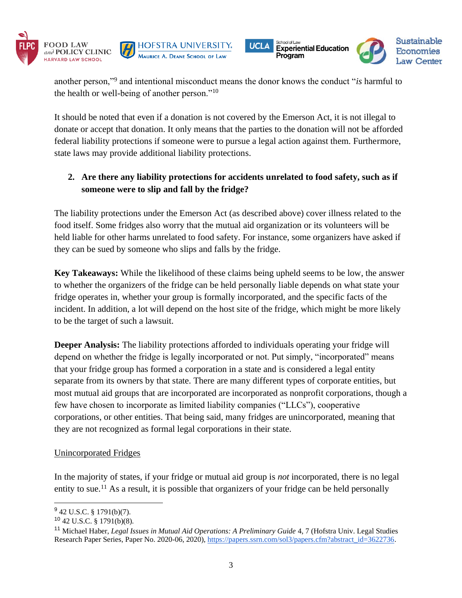







another person,"<sup>9</sup> and intentional misconduct means the donor knows the conduct "*is* harmful to the health or well-being of another person."<sup>10</sup>

It should be noted that even if a donation is not covered by the Emerson Act, it is not illegal to donate or accept that donation. It only means that the parties to the donation will not be afforded federal liability protections if someone were to pursue a legal action against them. Furthermore, state laws may provide additional liability protections.

# **2. Are there any liability protections for accidents unrelated to food safety, such as if someone were to slip and fall by the fridge?**

The liability protections under the Emerson Act (as described above) cover illness related to the food itself. Some fridges also worry that the mutual aid organization or its volunteers will be held liable for other harms unrelated to food safety. For instance, some organizers have asked if they can be sued by someone who slips and falls by the fridge.

**Key Takeaways:** While the likelihood of these claims being upheld seems to be low, the answer to whether the organizers of the fridge can be held personally liable depends on what state your fridge operates in, whether your group is formally incorporated, and the specific facts of the incident. In addition, a lot will depend on the host site of the fridge, which might be more likely to be the target of such a lawsuit.

**Deeper Analysis:** The liability protections afforded to individuals operating your fridge will depend on whether the fridge is legally incorporated or not. Put simply, "incorporated" means that your fridge group has formed a corporation in a state and is considered a legal entity separate from its owners by that state. There are many different types of corporate entities, but most mutual aid groups that are incorporated are incorporated as nonprofit corporations, though a few have chosen to incorporate as limited liability companies ("LLCs"), cooperative corporations, or other entities. That being said, many fridges are unincorporated, meaning that they are not recognized as formal legal corporations in their state.

#### Unincorporated Fridges

In the majority of states, if your fridge or mutual aid group is *not* incorporated, there is no legal entity to sue.<sup>11</sup> As a result, it is possible that organizers of your fridge can be held personally

 $9$  42 U.S.C. § 1791(b)(7).

 $10$  42 U.S.C. § 1791(b)(8).

<sup>11</sup> Michael Haber, *Legal Issues in Mutual Aid Operations: A Preliminary Guide* 4, 7 (Hofstra Univ. Legal Studies Research Paper Series, Paper No. 2020-06, 2020), [https://papers.ssrn.com/sol3/papers.cfm?abstract\\_id=3622736.](https://papers.ssrn.com/sol3/papers.cfm?abstract_id=3622736)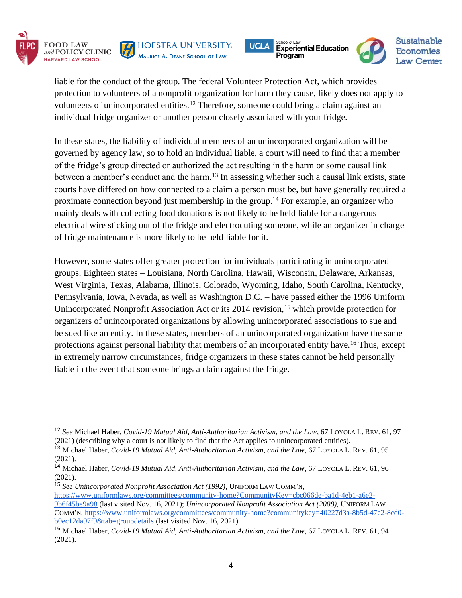







**Sustainable Economies Law Center** 

liable for the conduct of the group. The federal Volunteer Protection Act, which provides protection to volunteers of a nonprofit organization for harm they cause, likely does not apply to volunteers of unincorporated entities.<sup>12</sup> Therefore, someone could bring a claim against an individual fridge organizer or another person closely associated with your fridge.

In these states, the liability of individual members of an unincorporated organization will be governed by agency law, so to hold an individual liable, a court will need to find that a member of the fridge's group directed or authorized the act resulting in the harm or some causal link between a member's conduct and the harm.<sup>13</sup> In assessing whether such a causal link exists, state courts have differed on how connected to a claim a person must be, but have generally required a proximate connection beyond just membership in the group.<sup>14</sup> For example, an organizer who mainly deals with collecting food donations is not likely to be held liable for a dangerous electrical wire sticking out of the fridge and electrocuting someone, while an organizer in charge of fridge maintenance is more likely to be held liable for it.

However, some states offer greater protection for individuals participating in unincorporated groups. Eighteen states – Louisiana, North Carolina, Hawaii, Wisconsin, Delaware, Arkansas, West Virginia, Texas, Alabama, Illinois, Colorado, Wyoming, Idaho, South Carolina, Kentucky, Pennsylvania, Iowa, Nevada, as well as Washington D.C. – have passed either the 1996 Uniform Unincorporated Nonprofit Association Act or its 2014 revision,<sup>15</sup> which provide protection for organizers of unincorporated organizations by allowing unincorporated associations to sue and be sued like an entity. In these states, members of an unincorporated organization have the same protections against personal liability that members of an incorporated entity have.<sup>16</sup> Thus, except in extremely narrow circumstances, fridge organizers in these states cannot be held personally liable in the event that someone brings a claim against the fridge.

<sup>15</sup> *See Unincorporated Nonprofit Association Act (1992)*, UNIFORM LAW COMM'N, [https://www.uniformlaws.org/committees/community-home?CommunityKey=cbc066de-ba1d-4eb1-a6e2-](https://www.uniformlaws.org/committees/community-home?CommunityKey=cbc066de-ba1d-4eb1-a6e2-9b6f45be9a98) [9b6f45be9a98](https://www.uniformlaws.org/committees/community-home?CommunityKey=cbc066de-ba1d-4eb1-a6e2-9b6f45be9a98) (last visited Nov. 16, 2021); *Unincorporated Nonprofit Association Act (2008),* UNIFORM LAW COMM'N, [https://www.uniformlaws.org/committees/community-home?communitykey=40227d3a-8b5d-47c2-8cd0](https://www.uniformlaws.org/committees/community-home?communitykey=40227d3a-8b5d-47c2-8cd0-b0ec12da97f9&tab=groupdetails) [b0ec12da97f9&tab=groupdetails](https://www.uniformlaws.org/committees/community-home?communitykey=40227d3a-8b5d-47c2-8cd0-b0ec12da97f9&tab=groupdetails) (last visited Nov. 16, 2021).

<sup>12</sup> *See* Michael Haber, *Covid-19 Mutual Aid, Anti-Authoritarian Activism, and the Law*, 67 LOYOLA L. REV. 61, 97 (2021) (describing why a court is not likely to find that the Act applies to unincorporated entities).

<sup>13</sup> Michael Haber, *Covid-19 Mutual Aid, Anti-Authoritarian Activism, and the Law*, 67 LOYOLA L. REV. 61, 95 (2021).

<sup>14</sup> Michael Haber, *Covid-19 Mutual Aid, Anti-Authoritarian Activism, and the Law*, 67 LOYOLA L. REV. 61, 96 (2021).

<sup>16</sup> Michael Haber, *Covid-19 Mutual Aid, Anti-Authoritarian Activism, and the Law*, 67 LOYOLA L. REV. 61, 94 (2021).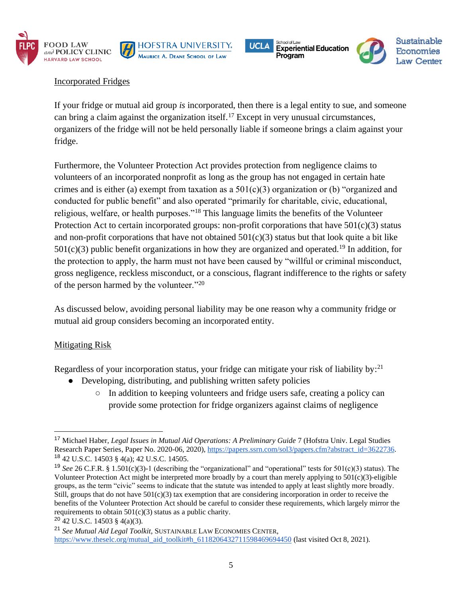









#### Incorporated Fridges

If your fridge or mutual aid group *is* incorporated, then there is a legal entity to sue, and someone can bring a claim against the organization itself.<sup>17</sup> Except in very unusual circumstances, organizers of the fridge will not be held personally liable if someone brings a claim against your fridge.

Furthermore, the Volunteer Protection Act provides protection from negligence claims to volunteers of an incorporated nonprofit as long as the group has not engaged in certain hate crimes and is either (a) exempt from taxation as a  $501(c)(3)$  organization or (b) "organized and conducted for public benefit" and also operated "primarily for charitable, civic, educational, religious, welfare, or health purposes."<sup>18</sup> This language limits the benefits of the Volunteer Protection Act to certain incorporated groups: non-profit corporations that have  $501(c)(3)$  status and non-profit corporations that have not obtained  $501(c)(3)$  status but that look quite a bit like  $501(c)(3)$  public benefit organizations in how they are organized and operated.<sup>19</sup> In addition, for the protection to apply, the harm must not have been caused by "willful or criminal misconduct, gross negligence, reckless misconduct, or a conscious, flagrant indifference to the rights or safety of the person harmed by the volunteer."<sup>20</sup>

As discussed below, avoiding personal liability may be one reason why a community fridge or mutual aid group considers becoming an incorporated entity.

#### Mitigating Risk

Regardless of your incorporation status, your fridge can mitigate your risk of liability by:<sup>21</sup>

- Developing, distributing, and publishing written safety policies
	- In addition to keeping volunteers and fridge users safe, creating a policy can provide some protection for fridge organizers against claims of negligence

<sup>17</sup> Michael Haber, *Legal Issues in Mutual Aid Operations: A Preliminary Guide* 7 (Hofstra Univ. Legal Studies Research Paper Series, Paper No. 2020-06, 2020), [https://papers.ssrn.com/sol3/papers.cfm?abstract\\_id=3622736.](https://papers.ssrn.com/sol3/papers.cfm?abstract_id=3622736) <sup>18</sup> 42 U.S.C. 14503 § 4(a); 42 U.S.C. 14505.

<sup>19</sup> *See* 26 C.F.R. § 1.501(c)(3)-1 (describing the "organizational" and "operational" tests for 501(c)(3) status). The Volunteer Protection Act might be interpreted more broadly by a court than merely applying to 501(c)(3)-eligible groups, as the term "civic" seems to indicate that the statute was intended to apply at least slightly more broadly. Still, groups that do not have  $501(c)(3)$  tax exemption that are considering incorporation in order to receive the benefits of the Volunteer Protection Act should be careful to consider these requirements, which largely mirror the requirements to obtain 501(c)(3) status as a public charity.

 $20$  42 U.S.C. 14503 § 4(a)(3).

<sup>21</sup> *See Mutual Aid Legal Toolkit*, SUSTAINABLE LAW ECONOMIES CENTER, [https://www.theselc.org/mutual\\_aid\\_toolkit#h\\_6118206432711598469694450](https://www.theselc.org/mutual_aid_toolkit#h_6118206432711598469694450) (last visited Oct 8, 2021).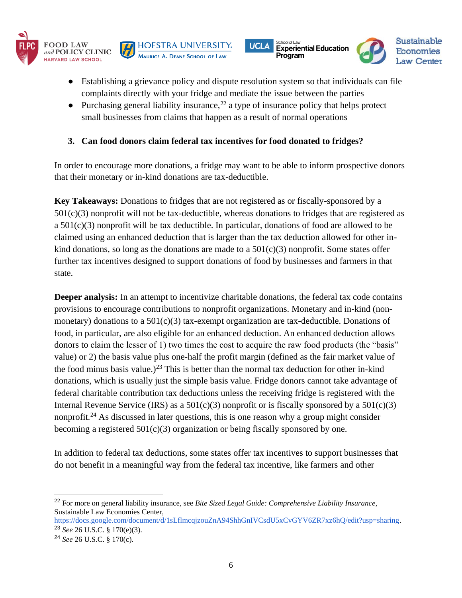







- Establishing a grievance policy and dispute resolution system so that individuals can file complaints directly with your fridge and mediate the issue between the parties
- Purchasing general liability insurance,  $^{22}$  a type of insurance policy that helps protect small businesses from claims that happen as a result of normal operations

## **3. Can food donors claim federal tax incentives for food donated to fridges?**

In order to encourage more donations, a fridge may want to be able to inform prospective donors that their monetary or in-kind donations are tax-deductible.

**Key Takeaways:** Donations to fridges that are not registered as or fiscally-sponsored by a  $501(c)(3)$  nonprofit will not be tax-deductible, whereas donations to fridges that are registered as a  $501(c)(3)$  nonprofit will be tax deductible. In particular, donations of food are allowed to be claimed using an enhanced deduction that is larger than the tax deduction allowed for other inkind donations, so long as the donations are made to a  $501(c)(3)$  nonprofit. Some states offer further tax incentives designed to support donations of food by businesses and farmers in that state.

**Deeper analysis:** In an attempt to incentivize charitable donations, the federal tax code contains provisions to encourage contributions to nonprofit organizations. Monetary and in-kind (nonmonetary) donations to a  $501(c)(3)$  tax-exempt organization are tax-deductible. Donations of food, in particular, are also eligible for an enhanced deduction. An enhanced deduction allows donors to claim the lesser of 1) two times the cost to acquire the raw food products (the "basis" value) or 2) the basis value plus one-half the profit margin (defined as the fair market value of the food minus basis value.)<sup>23</sup> This is better than the normal tax deduction for other in-kind donations, which is usually just the simple basis value. Fridge donors cannot take advantage of federal charitable contribution tax deductions unless the receiving fridge is registered with the Internal Revenue Service (IRS) as a  $501(c)(3)$  nonprofit or is fiscally sponsored by a  $501(c)(3)$ nonprofit.<sup>24</sup> As discussed in later questions, this is one reason why a group might consider becoming a registered  $501(c)(3)$  organization or being fiscally sponsored by one.

In addition to federal tax deductions, some states offer tax incentives to support businesses that do not benefit in a meaningful way from the federal tax incentive, like farmers and other

<sup>22</sup> For more on general liability insurance, see *Bite Sized Legal Guide: Comprehensive Liability Insurance*, Sustainable Law Economies Center,

[https://docs.google.com/document/d/1sLflmcqjzouZnA94ShhGnIVCsdU5xCvGYV6ZR7xz6hQ/edit?usp=sharing.](https://docs.google.com/document/d/1sLflmcqjzouZnA94ShhGnIVCsdU5xCvGYV6ZR7xz6hQ/edit?usp=sharing) <sup>23</sup> *See* 26 U.S.C. § 170(e)(3).

<sup>24</sup> *See* 26 U.S.C. § 170(c).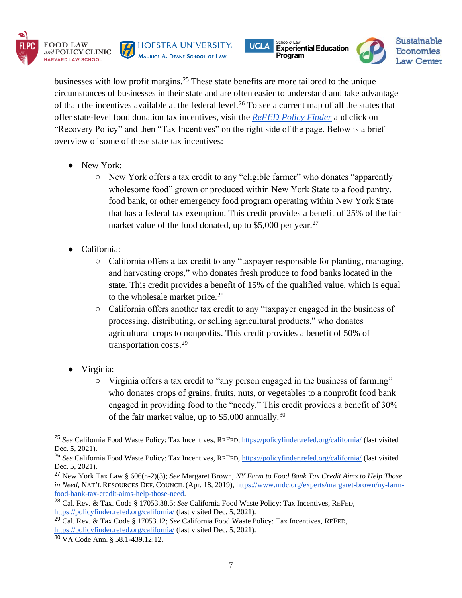







businesses with low profit margins.<sup>25</sup> These state benefits are more tailored to the unique circumstances of businesses in their state and are often easier to understand and take advantage of than the incentives available at the federal level.<sup>26</sup> To see a current map of all the states that offer state-level food donation tax incentives, visit the *[ReFED Policy Finder](https://policyfinder.refed.org/)* and click on "Recovery Policy" and then "Tax Incentives" on the right side of the page. Below is a brief overview of some of these state tax incentives:

- New York:
	- New York offers a tax credit to any "eligible farmer" who donates "apparently wholesome food" grown or produced within New York State to a food pantry, food bank, or other emergency food program operating within New York State that has a federal tax exemption. This credit provides a benefit of 25% of the fair market value of the food donated, up to  $$5,000$  per year.<sup>27</sup>
- California:
	- California offers a tax credit to any "taxpayer responsible for planting, managing, and harvesting crops," who donates fresh produce to food banks located in the state. This credit provides a benefit of 15% of the qualified value, which is equal to the wholesale market price. $28$
	- California offers another tax credit to any "taxpayer engaged in the business of processing, distributing, or selling agricultural products," who donates agricultural crops to nonprofits. This credit provides a benefit of 50% of transportation costs.<sup>29</sup>
- Virginia:
	- Virginia offers a tax credit to "any person engaged in the business of farming" who donates crops of grains, fruits, nuts, or vegetables to a nonprofit food bank engaged in providing food to the "needy." This credit provides a benefit of 30% of the fair market value, up to \$5,000 annually.<sup>30</sup>

<sup>25</sup> *See* California Food Waste Policy: Tax Incentives, REFED[, https://policyfinder.refed.org/california/](https://policyfinder.refed.org/california/) (last visited Dec. 5, 2021).

<sup>26</sup> *See* California Food Waste Policy: Tax Incentives, REFED[, https://policyfinder.refed.org/california/](https://policyfinder.refed.org/california/) (last visited Dec. 5, 2021).

<sup>27</sup> New York Tax Law § 606(n-2)(3); *See* Margaret Brown, *NY Farm to Food Bank Tax Credit Aims to Help Those in Need*, NAT'L RESOURCES DEF. COUNCIL (Apr. 18, 2019), [https://www.nrdc.org/experts/margaret-brown/ny-farm](https://www.nrdc.org/experts/margaret-brown/ny-farm-food-bank-tax-credit-aims-help-those-need)[food-bank-tax-credit-aims-help-those-need.](https://www.nrdc.org/experts/margaret-brown/ny-farm-food-bank-tax-credit-aims-help-those-need)

<sup>28</sup> Cal. Rev. & Tax. Code § 17053.88.5; *See* California Food Waste Policy: Tax Incentives, REFED, <https://policyfinder.refed.org/california/> (last visited Dec. 5, 2021).

<sup>29</sup> Cal. Rev. & Tax Code § 17053.12; *See* California Food Waste Policy: Tax Incentives, REFED, <https://policyfinder.refed.org/california/> (last visited Dec. 5, 2021).

<sup>30</sup> VA Code Ann. § 58.1-439.12:12.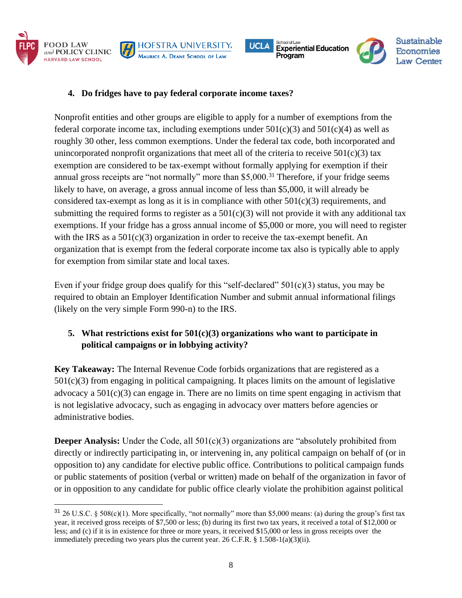



**HOFSTRA UNIVERSITY.** 

MAURICE A. DEANE SCHOOL OF LAW

Nonprofit entities and other groups are eligible to apply for a number of exemptions from the federal corporate income tax, including exemptions under  $501(c)(3)$  and  $501(c)(4)$  as well as roughly 30 other, less common exemptions. Under the federal tax code, both incorporated and unincorporated nonprofit organizations that meet all of the criteria to receive  $501(c)(3)$  tax exemption are considered to be tax-exempt without formally applying for exemption if their annual gross receipts are "not normally" more than \$5,000.<sup>31</sup> Therefore, if your fridge seems likely to have, on average, a gross annual income of less than \$5,000, it will already be considered tax-exempt as long as it is in compliance with other  $501(c)(3)$  requirements, and submitting the required forms to register as a  $501(c)(3)$  will not provide it with any additional tax exemptions. If your fridge has a gross annual income of \$5,000 or more, you will need to register with the IRS as a  $501(c)(3)$  organization in order to receive the tax-exempt benefit. An organization that is exempt from the federal corporate income tax also is typically able to apply for exemption from similar state and local taxes.

School of Law

Program

**Experiential Education** 

**UCLA** 

**Sustainable** 

**Economies** 

Even if your fridge group does qualify for this "self-declared"  $501(c)(3)$  status, you may be required to obtain an Employer Identification Number and submit annual informational filings (likely on the very simple Form 990-n) to the IRS.

# **5. What restrictions exist for 501(c)(3) organizations who want to participate in political campaigns or in lobbying activity?**

**Key Takeaway:** The Internal Revenue Code forbids organizations that are registered as a  $501(c)(3)$  from engaging in political campaigning. It places limits on the amount of legislative advocacy a  $501(c)(3)$  can engage in. There are no limits on time spent engaging in activism that is not legislative advocacy, such as engaging in advocacy over matters before agencies or administrative bodies.

**Deeper Analysis:** Under the Code, all 501(c)(3) organizations are "absolutely prohibited from directly or indirectly participating in, or intervening in, any political campaign on behalf of (or in opposition to) any candidate for elective public office. Contributions to political campaign funds or public statements of position (verbal or written) made on behalf of the organization in favor of or in opposition to any candidate for public office clearly violate the prohibition against political

 $31\,26$  U.S.C. § 508(c)(1). More specifically, "not normally" more than \$5,000 means: (a) during the group's first tax year, it received gross receipts of \$7,500 or less; (b) during its first two tax years, it received a total of \$12,000 or less; and (c) if it is in existence for three or more years, it received \$15,000 or less in gross receipts over the immediately preceding two years plus the current year. 26 C.F.R. § 1.508-1(a)(3)(ii).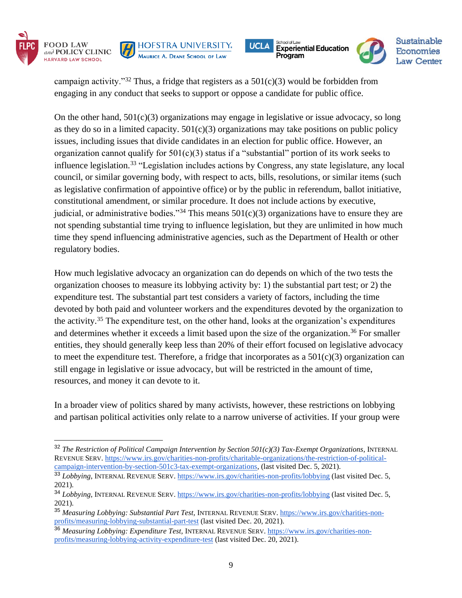









campaign activity."<sup>32</sup> Thus, a fridge that registers as a  $501(c)(3)$  would be forbidden from engaging in any conduct that seeks to support or oppose a candidate for public office.

On the other hand,  $501(c)(3)$  organizations may engage in legislative or issue advocacy, so long as they do so in a limited capacity.  $501(c)(3)$  organizations may take positions on public policy issues, including issues that divide candidates in an election for public office. However, an organization cannot qualify for  $501(c)(3)$  status if a "substantial" portion of its work seeks to influence legislation.<sup>33</sup> "Legislation includes actions by Congress, any state legislature, any local council, or similar governing body, with respect to acts, bills, resolutions, or similar items (such as legislative confirmation of appointive office) or by the public in referendum, ballot initiative, constitutional amendment, or similar procedure. It does not include actions by executive, judicial, or administrative bodies."<sup>34</sup> This means  $501(c)(3)$  organizations have to ensure they are not spending substantial time trying to influence legislation, but they are unlimited in how much time they spend influencing administrative agencies, such as the Department of Health or other regulatory bodies.

How much legislative advocacy an organization can do depends on which of the two tests the organization chooses to measure its lobbying activity by: 1) the substantial part test; or 2) the expenditure test. The substantial part test considers a variety of factors, including the time devoted by both paid and volunteer workers and the expenditures devoted by the organization to the activity.<sup>35</sup> The expenditure test, on the other hand, looks at the organization's expenditures and determines whether it exceeds a limit based upon the size of the organization.<sup>36</sup> For smaller entities, they should generally keep less than 20% of their effort focused on legislative advocacy to meet the expenditure test. Therefore, a fridge that incorporates as a  $501(c)(3)$  organization can still engage in legislative or issue advocacy, but will be restricted in the amount of time, resources, and money it can devote to it.

In a broader view of politics shared by many activists, however, these restrictions on lobbying and partisan political activities only relate to a narrow universe of activities. If your group were

<sup>32</sup> *The Restriction of Political Campaign Intervention by Section 501(c)(3) Tax-Exempt Organizations*, INTERNAL REVENUE SERV. [https://www.irs.gov/charities-non-profits/charitable-organizations/the-restriction-of-political](https://www.irs.gov/charities-non-profits/charitable-organizations/the-restriction-of-political-campaign-intervention-by-section-501c3-tax-exempt-organizations)[campaign-intervention-by-section-501c3-tax-exempt-organizations,](https://www.irs.gov/charities-non-profits/charitable-organizations/the-restriction-of-political-campaign-intervention-by-section-501c3-tax-exempt-organizations) (last visited Dec. 5, 2021).

<sup>&</sup>lt;sup>33</sup> *Lobbving*, INTERNAL REVENUE SERV.<https://www.irs.gov/charities-non-profits/lobbying> (last visited Dec. 5, 2021).

<sup>34</sup> *Lobbying*, INTERNAL REVENUE SERV.<https://www.irs.gov/charities-non-profits/lobbying> (last visited Dec. 5, 2021).

<sup>35</sup> *Measuring Lobbying: Substantial Part Test,* INTERNAL REVENUE SERV. [https://www.irs.gov/charities-non](https://www.irs.gov/charities-non-profits/measuring-lobbying-substantial-part-test)[profits/measuring-lobbying-substantial-part-test](https://www.irs.gov/charities-non-profits/measuring-lobbying-substantial-part-test) (last visited Dec. 20, 2021).

<sup>&</sup>lt;sup>36</sup> Measuring Lobbying: Expenditure Test, INTERNAL REVENUE SERV. [https://www.irs.gov/charities-non](https://www.irs.gov/charities-non-profits/measuring-lobbying-activity-expenditure-test)[profits/measuring-lobbying-activity-expenditure-test](https://www.irs.gov/charities-non-profits/measuring-lobbying-activity-expenditure-test) (last visited Dec. 20, 2021).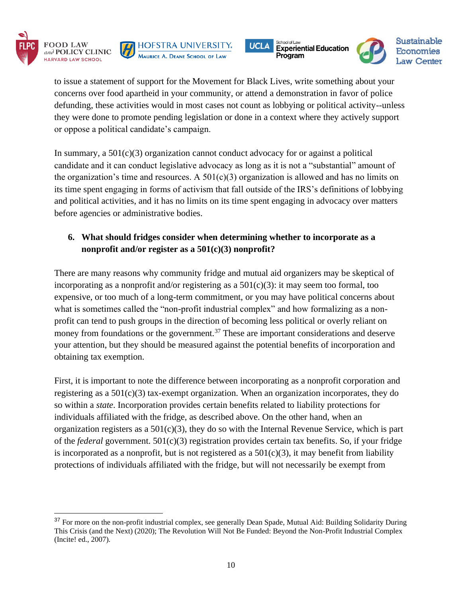







to issue a statement of support for the Movement for Black Lives, write something about your concerns over food apartheid in your community, or attend a demonstration in favor of police defunding, these activities would in most cases not count as lobbying or political activity--unless they were done to promote pending legislation or done in a context where they actively support or oppose a political candidate's campaign.

In summary, a  $501(c)(3)$  organization cannot conduct advocacy for or against a political candidate and it can conduct legislative advocacy as long as it is not a "substantial" amount of the organization's time and resources. A  $501(c)(3)$  organization is allowed and has no limits on its time spent engaging in forms of activism that fall outside of the IRS's definitions of lobbying and political activities, and it has no limits on its time spent engaging in advocacy over matters before agencies or administrative bodies.

# **6. What should fridges consider when determining whether to incorporate as a nonprofit and/or register as a 501(c)(3) nonprofit?**

There are many reasons why community fridge and mutual aid organizers may be skeptical of incorporating as a nonprofit and/or registering as a  $501(c)(3)$ : it may seem too formal, too expensive, or too much of a long-term commitment, or you may have political concerns about what is sometimes called the "non-profit industrial complex" and how formalizing as a nonprofit can tend to push groups in the direction of becoming less political or overly reliant on money from foundations or the government.<sup>37</sup> These are important considerations and deserve your attention, but they should be measured against the potential benefits of incorporation and obtaining tax exemption.

First, it is important to note the difference between incorporating as a nonprofit corporation and registering as a 501(c)(3) tax-exempt organization. When an organization incorporates, they do so within a *state*. Incorporation provides certain benefits related to liability protections for individuals affiliated with the fridge, as described above. On the other hand, when an organization registers as a 501(c)(3), they do so with the Internal Revenue Service, which is part of the *federal* government. 501(c)(3) registration provides certain tax benefits. So, if your fridge is incorporated as a nonprofit, but is not registered as a  $501(c)(3)$ , it may benefit from liability protections of individuals affiliated with the fridge, but will not necessarily be exempt from

<sup>&</sup>lt;sup>37</sup> For more on the non-profit industrial complex, see generally Dean Spade, Mutual Aid: Building Solidarity During This Crisis (and the Next) (2020); The Revolution Will Not Be Funded: Beyond the Non-Profit Industrial Complex (Incite! ed., 2007).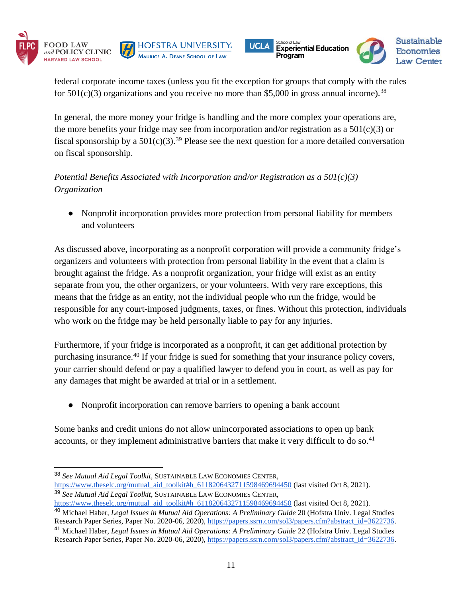







federal corporate income taxes (unless you fit the exception for groups that comply with the rules for  $501(c)(3)$  organizations and you receive no more than \$5,000 in gross annual income).<sup>38</sup>

In general, the more money your fridge is handling and the more complex your operations are, the more benefits your fridge may see from incorporation and/or registration as a  $501(c)(3)$  or fiscal sponsorship by a  $501(c)(3)$ .<sup>39</sup> Please see the next question for a more detailed conversation on fiscal sponsorship.

*Potential Benefits Associated with Incorporation and/or Registration as a 501(c)(3) Organization*

● Nonprofit incorporation provides more protection from personal liability for members and volunteers

As discussed above, incorporating as a nonprofit corporation will provide a community fridge's organizers and volunteers with protection from personal liability in the event that a claim is brought against the fridge. As a nonprofit organization, your fridge will exist as an entity separate from you, the other organizers, or your volunteers. With very rare exceptions, this means that the fridge as an entity, not the individual people who run the fridge, would be responsible for any court-imposed judgments, taxes, or fines. Without this protection, individuals who work on the fridge may be held personally liable to pay for any injuries.

Furthermore, if your fridge is incorporated as a nonprofit, it can get additional protection by purchasing insurance.<sup>40</sup> If your fridge is sued for something that your insurance policy covers, your carrier should defend or pay a qualified lawyer to defend you in court, as well as pay for any damages that might be awarded at trial or in a settlement.

● Nonprofit incorporation can remove barriers to opening a bank account

Some banks and credit unions do not allow unincorporated associations to open up bank accounts, or they implement administrative barriers that make it very difficult to do so.<sup>41</sup>

<sup>38</sup> *See Mutual Aid Legal Toolkit*, SUSTAINABLE LAW ECONOMIES CENTER,

[https://www.theselc.org/mutual\\_aid\\_toolkit#h\\_6118206432711598469694450](https://www.theselc.org/mutual_aid_toolkit#h_6118206432711598469694450) (last visited Oct 8, 2021). <sup>39</sup> *See Mutual Aid Legal Toolkit*, SUSTAINABLE LAW ECONOMIES CENTER,

[https://www.theselc.org/mutual\\_aid\\_toolkit#h\\_6118206432711598469694450](https://www.theselc.org/mutual_aid_toolkit#h_6118206432711598469694450) (last visited Oct 8, 2021).

<sup>40</sup> Michael Haber, *Legal Issues in Mutual Aid Operations: A Preliminary Guide* 20 (Hofstra Univ. Legal Studies Research Paper Series, Paper No. 2020-06, 2020), [https://papers.ssrn.com/sol3/papers.cfm?abstract\\_id=3622736.](https://papers.ssrn.com/sol3/papers.cfm?abstract_id=3622736)

<sup>41</sup> Michael Haber, *Legal Issues in Mutual Aid Operations: A Preliminary Guide* 22 (Hofstra Univ. Legal Studies Research Paper Series, Paper No. 2020-06, 2020), [https://papers.ssrn.com/sol3/papers.cfm?abstract\\_id=3622736.](https://papers.ssrn.com/sol3/papers.cfm?abstract_id=3622736)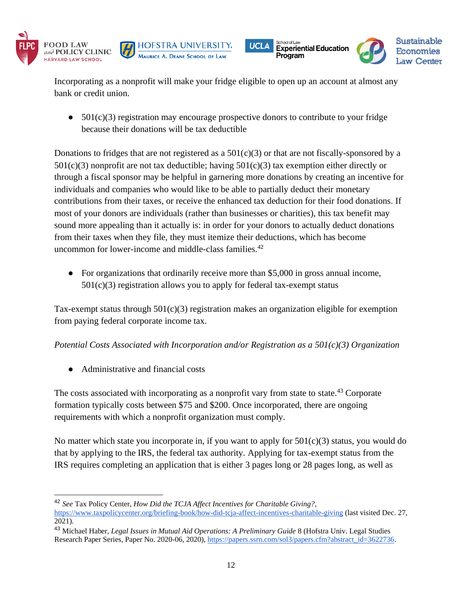







Incorporating as a nonprofit will make your fridge eligible to open up an account at almost any bank or credit union.

 $\bullet$  501(c)(3) registration may encourage prospective donors to contribute to your fridge because their donations will be tax deductible

Donations to fridges that are not registered as a  $501(c)(3)$  or that are not fiscally-sponsored by a  $501(c)(3)$  nonprofit are not tax deductible; having  $501(c)(3)$  tax exemption either directly or through a fiscal sponsor may be helpful in garnering more donations by creating an incentive for individuals and companies who would like to be able to partially deduct their monetary contributions from their taxes, or receive the enhanced tax deduction for their food donations. If most of your donors are individuals (rather than businesses or charities), this tax benefit may sound more appealing than it actually is: in order for your donors to actually deduct donations from their taxes when they file, they must itemize their deductions, which has become uncommon for lower-income and middle-class families.<sup>42</sup>

● For organizations that ordinarily receive more than \$5,000 in gross annual income,  $501(c)(3)$  registration allows you to apply for federal tax-exempt status

Tax-exempt status through  $501(c)(3)$  registration makes an organization eligible for exemption from paying federal corporate income tax.

*Potential Costs Associated with Incorporation and/or Registration as a 501(c)(3) Organization*

● Administrative and financial costs

The costs associated with incorporating as a nonprofit vary from state to state.<sup>43</sup> Corporate formation typically costs between \$75 and \$200. Once incorporated, there are ongoing requirements with which a nonprofit organization must comply.

No matter which state you incorporate in, if you want to apply for  $501(c)(3)$  status, you would do that by applying to the IRS, the federal tax authority. Applying for tax-exempt status from the IRS requires completing an application that is either 3 pages long or 28 pages long, as well as

<sup>42</sup> *See* Tax Policy Center, *How Did the TCJA Affect Incentives for Charitable Giving?*,

<https://www.taxpolicycenter.org/briefing-book/how-did-tcja-affect-incentives-charitable-giving> (last visited Dec. 27, 2021).

<sup>43</sup> Michael Haber, *Legal Issues in Mutual Aid Operations: A Preliminary Guide* 8 (Hofstra Univ. Legal Studies Research Paper Series, Paper No. 2020-06, 2020), [https://papers.ssrn.com/sol3/papers.cfm?abstract\\_id=3622736.](https://papers.ssrn.com/sol3/papers.cfm?abstract_id=3622736)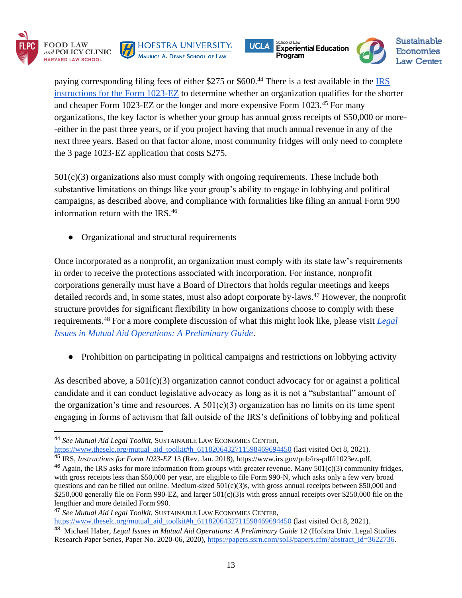







paying corresponding filing fees of either \$275 or \$600.<sup>44</sup> There is a test available in the IRS [instructions for the Form 1023-EZ](https://www.irs.gov/pub/irs-pdf/i1023ez.pdf) to determine whether an organization qualifies for the shorter and cheaper Form 1023-EZ or the longer and more expensive Form 1023.<sup>45</sup> For many organizations, the key factor is whether your group has annual gross receipts of \$50,000 or more- -either in the past three years, or if you project having that much annual revenue in any of the next three years. Based on that factor alone, most community fridges will only need to complete the 3 page 1023-EZ application that costs \$275.

 $501(c)(3)$  organizations also must comply with ongoing requirements. These include both substantive limitations on things like your group's ability to engage in lobbying and political campaigns, as described above, and compliance with formalities like filing an annual Form 990 information return with the IRS.<sup>46</sup>

• Organizational and structural requirements

Once incorporated as a nonprofit, an organization must comply with its state law's requirements in order to receive the protections associated with incorporation. For instance, nonprofit corporations generally must have a Board of Directors that holds regular meetings and keeps detailed records and, in some states, must also adopt corporate by-laws.<sup>47</sup> However, the nonprofit structure provides for significant flexibility in how organizations choose to comply with these requirements.<sup>48</sup> For a more complete discussion of what this might look like, please visit *[Legal](https://deliverypdf.ssrn.com/delivery.php?ID=853127084071024091001025030103068077046084047001025025024007113112122003028097087126052032042044047025048106000097011119074100000058035046014105065024121080076033041018104021020088087031000065009127113104087110002018112114001102118114066100095117&EXT=pdf&INDEX=TRUE)  [Issues in Mutual Aid Operations: A Preliminary Guide](https://deliverypdf.ssrn.com/delivery.php?ID=853127084071024091001025030103068077046084047001025025024007113112122003028097087126052032042044047025048106000097011119074100000058035046014105065024121080076033041018104021020088087031000065009127113104087110002018112114001102118114066100095117&EXT=pdf&INDEX=TRUE)*.

● Prohibition on participating in political campaigns and restrictions on lobbying activity

As described above, a 501(c)(3) organization cannot conduct advocacy for or against a political candidate and it can conduct legislative advocacy as long as it is not a "substantial" amount of the organization's time and resources. A  $501(c)(3)$  organization has no limits on its time spent engaging in forms of activism that fall outside of the IRS's definitions of lobbying and political

<sup>44</sup> *See Mutual Aid Legal Toolkit*, SUSTAINABLE LAW ECONOMIES CENTER,

[https://www.theselc.org/mutual\\_aid\\_toolkit#h\\_6118206432711598469694450](https://www.theselc.org/mutual_aid_toolkit#h_6118206432711598469694450) (last visited Oct 8, 2021). <sup>45</sup> IRS, *Instructions for Form 1023-EZ* 13 (Rev. Jan. 2018)[, https://www.irs.gov/pub/irs-pdf/i1023ez.pdf.](https://www.irs.gov/pub/irs-pdf/i1023ez.pdf)

 $46$  Again, the IRS asks for more information from groups with greater revenue. Many  $501(c)(3)$  community fridges, with gross receipts less than \$50,000 per year, are eligible to file Form 990-N, which asks only a few very broad questions and can be filled out online. Medium-sized  $501(c)(3)$ s, with gross annual receipts between \$50,000 and \$250,000 generally file on Form 990-EZ, and larger  $501(c)(3)$ s with gross annual receipts over \$250,000 file on the lengthier and more detailed Form 990.

<sup>47</sup> *See Mutual Aid Legal Toolkit*, SUSTAINABLE LAW ECONOMIES CENTER, [https://www.theselc.org/mutual\\_aid\\_toolkit#h\\_6118206432711598469694450](https://www.theselc.org/mutual_aid_toolkit#h_6118206432711598469694450) (last visited Oct 8, 2021). 48 Michael Haber, *Legal Issues in Mutual Aid Operations: A Preliminary Guide* 12 (Hofstra Univ. Legal Studies Research Paper Series, Paper No. 2020-06, 2020), [https://papers.ssrn.com/sol3/papers.cfm?abstract\\_id=3622736.](https://papers.ssrn.com/sol3/papers.cfm?abstract_id=3622736)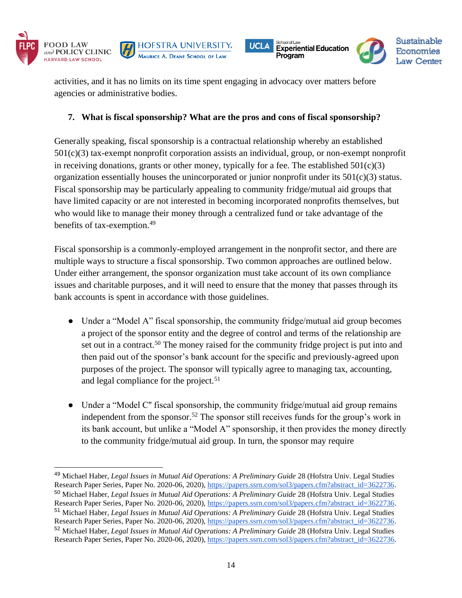







activities, and it has no limits on its time spent engaging in advocacy over matters before agencies or administrative bodies.

## **7. What is fiscal sponsorship? What are the pros and cons of fiscal sponsorship?**

Generally speaking, fiscal sponsorship is a contractual relationship whereby an established 501(c)(3) tax-exempt nonprofit corporation assists an individual, group, or non-exempt nonprofit in receiving donations, grants or other money, typically for a fee. The established  $501(c)(3)$ organization essentially houses the unincorporated or junior nonprofit under its  $501(c)(3)$  status. Fiscal sponsorship may be particularly appealing to community fridge/mutual aid groups that have limited capacity or are not interested in becoming incorporated nonprofits themselves, but who would like to manage their money through a centralized fund or take advantage of the benefits of tax-exemption.<sup>49</sup>

Fiscal sponsorship is a commonly-employed arrangement in the nonprofit sector, and there are multiple ways to structure a fiscal sponsorship. Two common approaches are outlined below. Under either arrangement, the sponsor organization must take account of its own compliance issues and charitable purposes, and it will need to ensure that the money that passes through its bank accounts is spent in accordance with those guidelines.

- Under a "Model A" fiscal sponsorship, the community fridge/mutual aid group becomes a project of the sponsor entity and the degree of control and terms of the relationship are set out in a contract.<sup>50</sup> The money raised for the community fridge project is put into and then paid out of the sponsor's bank account for the specific and previously-agreed upon purposes of the project. The sponsor will typically agree to managing tax, accounting, and legal compliance for the project.<sup>51</sup>
- Under a "Model C" fiscal sponsorship, the community fridge/mutual aid group remains independent from the sponsor.<sup>52</sup> The sponsor still receives funds for the group's work in its bank account, but unlike a "Model A" sponsorship, it then provides the money directly to the community fridge/mutual aid group. In turn, the sponsor may require

<sup>49</sup> Michael Haber, *Legal Issues in Mutual Aid Operations: A Preliminary Guide* 28 (Hofstra Univ. Legal Studies Research Paper Series, Paper No. 2020-06, 2020), [https://papers.ssrn.com/sol3/papers.cfm?abstract\\_id=3622736.](https://papers.ssrn.com/sol3/papers.cfm?abstract_id=3622736) <sup>50</sup> Michael Haber, *Legal Issues in Mutual Aid Operations: A Preliminary Guide* 28 (Hofstra Univ. Legal Studies Research Paper Series, Paper No. 2020-06, 2020), [https://papers.ssrn.com/sol3/papers.cfm?abstract\\_id=3622736.](https://papers.ssrn.com/sol3/papers.cfm?abstract_id=3622736) <sup>51</sup> Michael Haber, *Legal Issues in Mutual Aid Operations: A Preliminary Guide* 28 (Hofstra Univ. Legal Studies Research Paper Series, Paper No. 2020-06, 2020), [https://papers.ssrn.com/sol3/papers.cfm?abstract\\_id=3622736.](https://papers.ssrn.com/sol3/papers.cfm?abstract_id=3622736) <sup>52</sup> Michael Haber, *Legal Issues in Mutual Aid Operations: A Preliminary Guide* 28 (Hofstra Univ. Legal Studies Research Paper Series, Paper No. 2020-06, 2020), [https://papers.ssrn.com/sol3/papers.cfm?abstract\\_id=3622736.](https://papers.ssrn.com/sol3/papers.cfm?abstract_id=3622736)